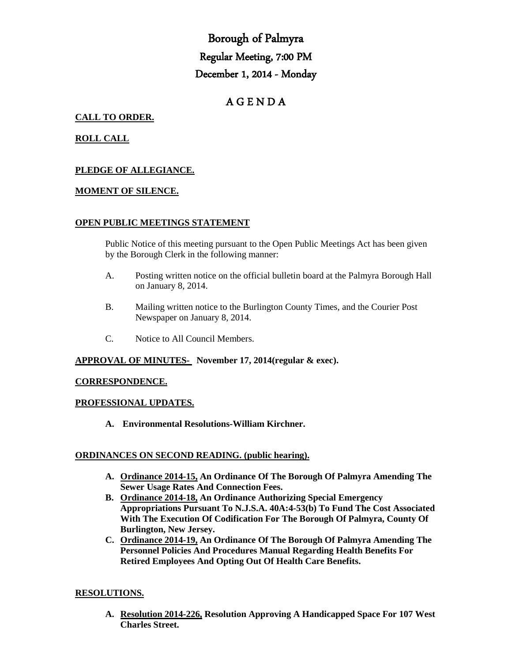# Borough of Palmyra Regular Meeting, 7:00 PM December 1, 2014 - Monday

# A G E N D A

# **CALL TO ORDER.**

# **ROLL CALL**

# **PLEDGE OF ALLEGIANCE.**

#### **MOMENT OF SILENCE.**

#### **OPEN PUBLIC MEETINGS STATEMENT**

Public Notice of this meeting pursuant to the Open Public Meetings Act has been given by the Borough Clerk in the following manner:

- A. Posting written notice on the official bulletin board at the Palmyra Borough Hall on January 8, 2014.
- B. Mailing written notice to the Burlington County Times, and the Courier Post Newspaper on January 8, 2014.
- C. Notice to All Council Members.

#### **APPROVAL OF MINUTES- November 17, 2014(regular & exec).**

#### **CORRESPONDENCE.**

#### **PROFESSIONAL UPDATES.**

**A. Environmental Resolutions-William Kirchner.**

#### **ORDINANCES ON SECOND READING. (public hearing).**

- **A. Ordinance 2014-15, An Ordinance Of The Borough Of Palmyra Amending The Sewer Usage Rates And Connection Fees.**
- **B. Ordinance 2014-18, An Ordinance Authorizing Special Emergency Appropriations Pursuant To N.J.S.A. 40A:4-53(b) To Fund The Cost Associated With The Execution Of Codification For The Borough Of Palmyra, County Of Burlington, New Jersey.**
- **C. Ordinance 2014-19, An Ordinance Of The Borough Of Palmyra Amending The Personnel Policies And Procedures Manual Regarding Health Benefits For Retired Employees And Opting Out Of Health Care Benefits.**

## **RESOLUTIONS.**

**A. Resolution 2014-226, Resolution Approving A Handicapped Space For 107 West Charles Street.**